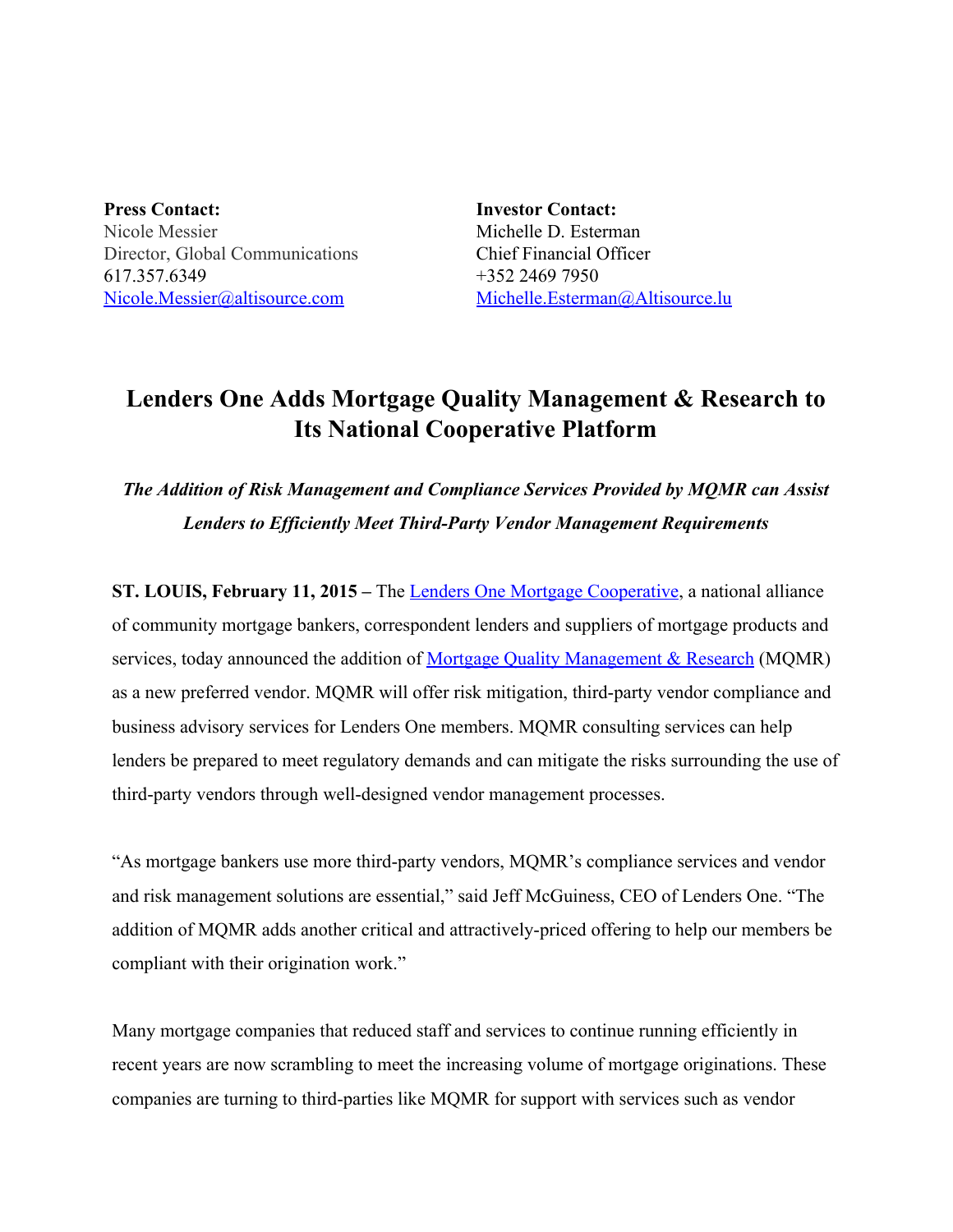**Press Contact:** Nicole Messier Director, Global Communications 617.357.6349 [Nicole.Messier@altisource.com](mailto:Nicole.Messier@altisource.com)

**Investor Contact:** Michelle D. Esterman Chief Financial Officer +352 2469 7950 [Michelle.Esterman@Altisource.lu](mailto:Michelle.Esterman@Altisource.lu)

## **Lenders One Adds Mortgage Quality Management & Research to Its National Cooperative Platform**

*The Addition of Risk Management and Compliance Services Provided by MQMR can Assist Lenders to Efficiently Meet Third-Party Vendor Management Requirements* 

**ST. LOUIS, February 11, 2015 –**The Lenders One Mortgage [Cooperative,](http://www.lendersone.com/) a national alliance of community mortgage bankers, correspondent lenders and suppliers of mortgage products and services, today announced the addition of Mortgage Quality [Management](http://mqmresearch.com/author/mqmr) & Research (MQMR) as a new preferred vendor. MQMR will offer risk mitigation, third-party vendor compliance and business advisory services for Lenders One members. MQMR consulting services can help lenders be prepared to meet regulatory demands and can mitigate the risks surrounding the use of third-party vendors through well-designed vendor management processes.

"As mortgage bankers use more third-party vendors, MQMR's compliance services and vendor and risk management solutions are essential," said Jeff McGuiness, CEO of Lenders One. "The addition of MQMR adds another critical and attractively-priced offering to help our members be compliant with their origination work."

Many mortgage companies that reduced staff and services to continue running efficiently in recent years are now scrambling to meet the increasing volume of mortgage originations. These companies are turning to third-parties like MQMR for support with services such as vendor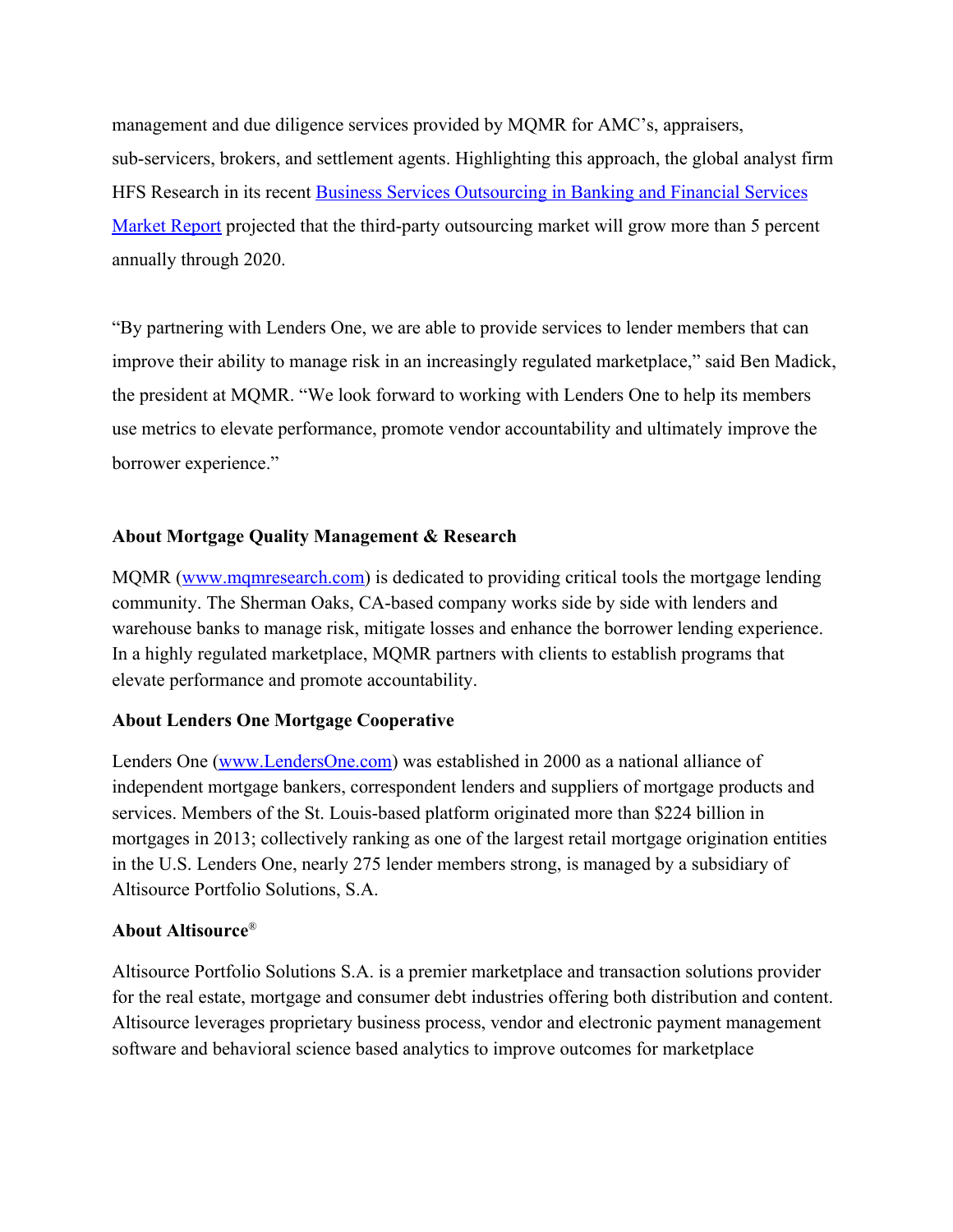management and due diligence services provided by MQMR for AMC's, appraisers, sub-servicers, brokers, and settlement agents. Highlighting this approach, the global analyst firm HFS Research in its recent **Business Services [Outsourcing](http://www-935.ibm.com/services/multimedia/rs-1302-banking-financial-services-2013-market-report.pdf) in Banking and Financial Services** [Market](http://www-935.ibm.com/services/multimedia/rs-1302-banking-financial-services-2013-market-report.pdf) Report projected that the third-party outsourcing market will grow more than 5 percent annually through 2020.

"By partnering with Lenders One, we are able to provide services to lender members that can improve their ability to manage risk in an increasingly regulated marketplace," said Ben Madick, the president at MQMR. "We look forward to working with Lenders One to help its members use metrics to elevate performance, promote vendor accountability and ultimately improve the borrower experience."

## **About Mortgage Quality Management & Research**

MQMR [\(www.mqmresearch.com\)](http://www.mqmresearch.com/) is dedicated to providing critical tools the mortgage lending community. The Sherman Oaks, CA-based company works side by side with lenders and warehouse banks to manage risk, mitigate losses and enhance the borrower lending experience. In a highly regulated marketplace, MQMR partners with clients to establish programs that elevate performance and promote accountability.

## **About Lenders One Mortgage Cooperative**

Lenders One [\(www.LendersOne.com\)](http://www.lendersone.com/) was established in 2000 as a national alliance of independent mortgage bankers, correspondent lenders and suppliers of mortgage products and services. Members of the St. Louis-based platform originated more than \$224 billion in mortgages in 2013; collectively ranking as one of the largest retail mortgage origination entities in the U.S. Lenders One, nearly 275 lender members strong, is managed by a subsidiary of Altisource Portfolio Solutions, S.A.

## **About Altisource**®

Altisource Portfolio Solutions S.A. is a premier marketplace and transaction solutions provider for the real estate, mortgage and consumer debt industries offering both distribution and content. Altisource leverages proprietary business process, vendor and electronic payment management software and behavioral science based analytics to improve outcomes for marketplace